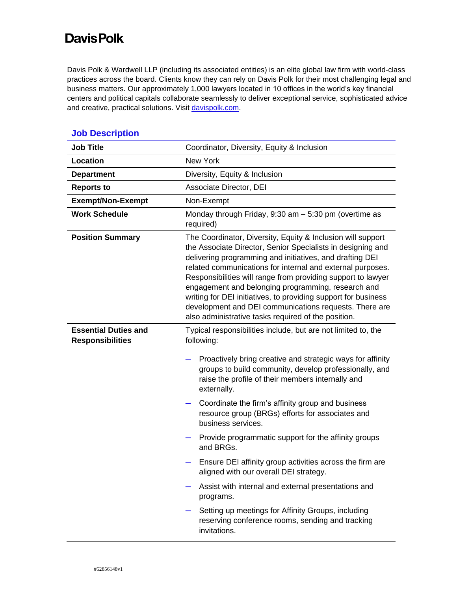## **Davis Polk**

Davis Polk & Wardwell LLP (including its associated entities) is an elite global law firm with world-class practices across the board. Clients know they can rely on Davis Polk for their most challenging legal and business matters. Our approximately 1,000 lawyers located in 10 offices in the world's key financial centers and political capitals collaborate seamlessly to deliver exceptional service, sophisticated advice and creative, practical solutions. Visi[t davispolk.com.](https://www.davispolk.com/)

| <b>Job Title</b>                                       | Coordinator, Diversity, Equity & Inclusion                                                                                                                                                                                                                                                                                                                                                                                                                                                                                                                    |
|--------------------------------------------------------|---------------------------------------------------------------------------------------------------------------------------------------------------------------------------------------------------------------------------------------------------------------------------------------------------------------------------------------------------------------------------------------------------------------------------------------------------------------------------------------------------------------------------------------------------------------|
| Location                                               | <b>New York</b>                                                                                                                                                                                                                                                                                                                                                                                                                                                                                                                                               |
| <b>Department</b>                                      | Diversity, Equity & Inclusion                                                                                                                                                                                                                                                                                                                                                                                                                                                                                                                                 |
| <b>Reports to</b>                                      | Associate Director, DEI                                                                                                                                                                                                                                                                                                                                                                                                                                                                                                                                       |
| <b>Exempt/Non-Exempt</b>                               | Non-Exempt                                                                                                                                                                                                                                                                                                                                                                                                                                                                                                                                                    |
| <b>Work Schedule</b>                                   | Monday through Friday, $9:30$ am $-5:30$ pm (overtime as<br>required)                                                                                                                                                                                                                                                                                                                                                                                                                                                                                         |
| <b>Position Summary</b>                                | The Coordinator, Diversity, Equity & Inclusion will support<br>the Associate Director, Senior Specialists in designing and<br>delivering programming and initiatives, and drafting DEI<br>related communications for internal and external purposes.<br>Responsibilities will range from providing support to lawyer<br>engagement and belonging programming, research and<br>writing for DEI initiatives, to providing support for business<br>development and DEI communications requests. There are<br>also administrative tasks required of the position. |
| <b>Essential Duties and</b><br><b>Responsibilities</b> | Typical responsibilities include, but are not limited to, the<br>following:                                                                                                                                                                                                                                                                                                                                                                                                                                                                                   |
|                                                        | Proactively bring creative and strategic ways for affinity<br>groups to build community, develop professionally, and<br>raise the profile of their members internally and<br>externally.                                                                                                                                                                                                                                                                                                                                                                      |
|                                                        | Coordinate the firm's affinity group and business<br>resource group (BRGs) efforts for associates and<br>business services.                                                                                                                                                                                                                                                                                                                                                                                                                                   |
|                                                        | Provide programmatic support for the affinity groups<br>and BRGs.                                                                                                                                                                                                                                                                                                                                                                                                                                                                                             |
|                                                        | Ensure DEI affinity group activities across the firm are<br>aligned with our overall DEI strategy.                                                                                                                                                                                                                                                                                                                                                                                                                                                            |
|                                                        | Assist with internal and external presentations and<br>programs.                                                                                                                                                                                                                                                                                                                                                                                                                                                                                              |
|                                                        | Setting up meetings for Affinity Groups, including<br>reserving conference rooms, sending and tracking<br>invitations.                                                                                                                                                                                                                                                                                                                                                                                                                                        |

## **Job Description**